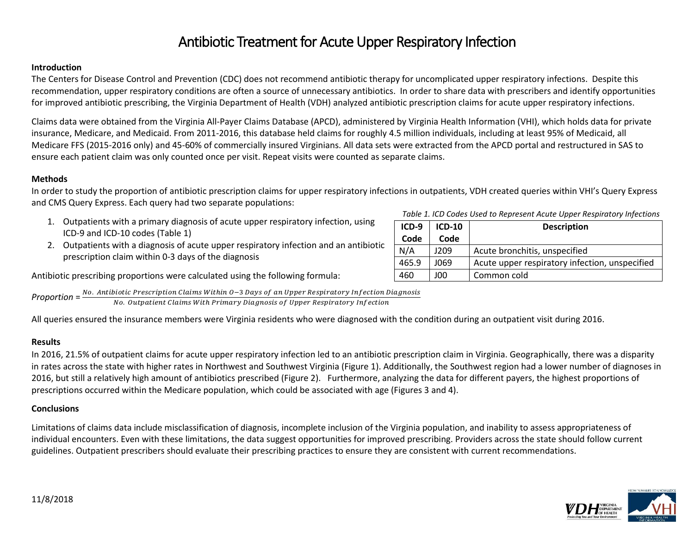# Antibiotic Treatment for Acute Upper Respiratory Infection

#### **Introduction**

The Centers for Disease Control and Prevention (CDC) does not recommend antibiotic therapy for uncomplicated upper respiratory infections. Despite this recommendation, upper respiratory conditions are often a source of unnecessary antibiotics. In order to share data with prescribers and identify opportunities for improved antibiotic prescribing, the Virginia Department of Health (VDH) analyzed antibiotic prescription claims for acute upper respiratory infections.

Claims data were obtained from the Virginia All-Payer Claims Database (APCD), administered by Virginia Health Information (VHI), which holds data for private insurance, Medicare, and Medicaid. From 2011-2016, this database held claims for roughly 4.5 million individuals, including at least 95% of Medicaid, all Medicare FFS (2015-2016 only) and 45-60% of commercially insured Virginians. All data sets were extracted from the APCD portal and restructured in SAS to ensure each patient claim was only counted once per visit. Repeat visits were counted as separate claims.

## **Methods**

and CMS Query Express. Each query had two separate populations: 1. Outpatients with a primary diagnosis of acute upper respiratory infection, using *Table 1. ICD Codes Used to Represent Acute Upper Respiratory Infections*

In order to study the proportion of antibiotic prescription claims for upper respiratory infections in outpatients, VDH created queries within VHI's Query Express

ICD-9 and ICD-10 codes (Table 1) 2. Outpatients with a diagnosis of acute upper respiratory infection and an antibiotic prescription claim within 0-3 days of the diagnosis

Antibiotic prescribing proportions were calculated using the following formula:

*Proportion* =  $\frac{No.$  *Antibiotic Prescription Claims Within 0–3 Days of an Upper Respiratory Infection Diagnosis* No. Outpatient Claims With Primary Diagnosis of Upper Respiratory Infection

All queries ensured the insurance members were Virginia residents who were diagnosed with the condition during an outpatient visit during 2016.

#### **Results**

In 2016, 21.5% of outpatient claims for acute upper respiratory infection led to an antibiotic prescription claim in Virginia. Geographically, there was a disparity in rates across the state with higher rates in Northwest and Southwest Virginia (Figure 1). Additionally, the Southwest region had a lower number of diagnoses in 2016, but still a relatively high amount of antibiotics prescribed (Figure 2). Furthermore, analyzing the data for different payers, the highest proportions of prescriptions occurred within the Medicare population, which could be associated with age (Figures 3 and 4).

# **Conclusions**

Limitations of claims data include misclassification of diagnosis, incomplete inclusion of the Virginia population, and inability to assess appropriateness of individual encounters. Even with these limitations, the data suggest opportunities for improved prescribing. Providers across the state should follow current guidelines. Outpatient prescribers should evaluate their prescribing practices to ensure they are consistent with current recommendations.

| $ICD-9$ | $ICD-10$ | <b>Description</b>                             |
|---------|----------|------------------------------------------------|
| Code    | Code     |                                                |
| N/A     | 1209     | Acute bronchitis, unspecified                  |
| 465.9   | 1069     | Acute upper respiratory infection, unspecified |
| 460     | 00ل      | Common cold                                    |